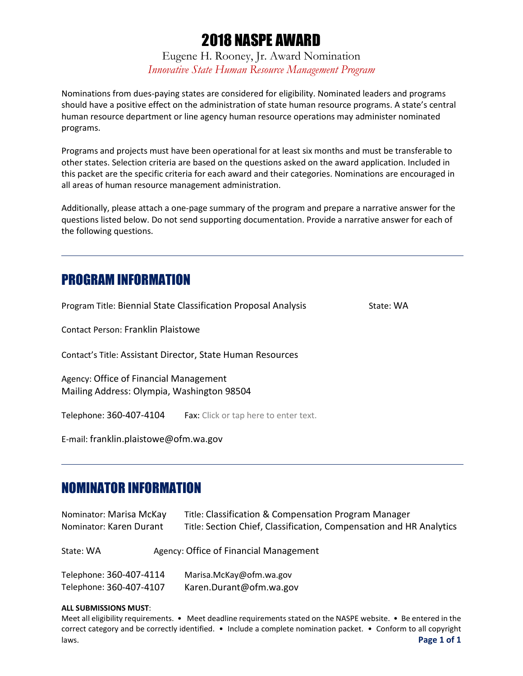# 2018 NASPE AWARD

Eugene H. Rooney, Jr. Award Nomination *Innovative State Human Resource Management Program*

Nominations from dues-paying states are considered for eligibility. Nominated leaders and programs should have a positive effect on the administration of state human resource programs. A state's central human resource department or line agency human resource operations may administer nominated programs.

Programs and projects must have been operational for at least six months and must be transferable to other states. Selection criteria are based on the questions asked on the award application. Included in this packet are the specific criteria for each award and their categories. Nominations are encouraged in all areas of human resource management administration.

Additionally, please attach a one-page summary of the program and prepare a narrative answer for the questions listed below. Do not send supporting documentation. Provide a narrative answer for each of the following questions.

# PROGRAM INFORMATION

Program Title: Biennial State Classification Proposal Analysis State: WA

Contact Person: Franklin Plaistowe

Contact's Title: Assistant Director, State Human Resources

Agency: Office of Financial Management Mailing Address: Olympia, Washington 98504

Telephone: 360-407-4104 Fax: Click or tap here to enter text.

E-mail: franklin.plaistowe@ofm.wa.gov

# NOMINATOR INFORMATION

| Nominator: Marisa McKay<br>Nominator: Karen Durant |  | Title: Classification & Compensation Program Manager<br>Title: Section Chief, Classification, Compensation and HR Analytics |
|----------------------------------------------------|--|-----------------------------------------------------------------------------------------------------------------------------|
| State: WA                                          |  | Agency: Office of Financial Management                                                                                      |
| Telephone: 360-407-4114<br>Telephone: 360-407-4107 |  | Marisa.McKay@ofm.wa.gov<br>Karen.Durant@ofm.wa.gov                                                                          |

#### **ALL SUBMISSIONS MUST**:

Meet all eligibility requirements. • Meet deadline requirements stated on the NASPE website. • Be entered in the correct category and be correctly identified. • Include a complete nomination packet. • Conform to all copyright laws. **Page 1 of 1**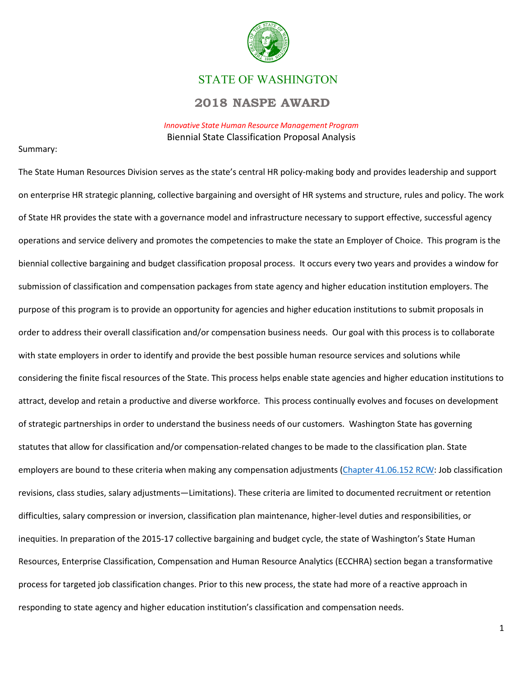

### STATE OF WASHINGTON

### **2018 NASPE AWARD**

*Innovative State Human Resource Management Program* Biennial State Classification Proposal Analysis

#### Summary:

The State Human Resources Division serves as the state's central HR policy-making body and provides leadership and support on enterprise HR strategic planning, collective bargaining and oversight of HR systems and structure, rules and policy. The work of State HR provides the state with a governance model and infrastructure necessary to support effective, successful agency operations and service delivery and promotes the competencies to make the state an Employer of Choice. This program is the biennial collective bargaining and budget classification proposal process. It occurs every two years and provides a window for submission of classification and compensation packages from state agency and higher education institution employers. The purpose of this program is to provide an opportunity for agencies and higher education institutions to submit proposals in order to address their overall classification and/or compensation business needs. Our goal with this process is to collaborate with state employers in order to identify and provide the best possible human resource services and solutions while considering the finite fiscal resources of the State. This process helps enable state agencies and higher education institutions to attract, develop and retain a productive and diverse workforce. This process continually evolves and focuses on development of strategic partnerships in order to understand the business needs of our customers. Washington State has governing statutes that allow for classification and/or compensation-related changes to be made to the classification plan. State employers are bound to these criteria when making any compensation adjustments [\(Chapter 41.06.152 RCW:](http://app.leg.wa.gov/RCW/default.aspx?cite=41.06.152) Job classification revisions, class studies, salary adjustments—Limitations). These criteria are limited to documented recruitment or retention difficulties, salary compression or inversion, classification plan maintenance, higher-level duties and responsibilities, or inequities. In preparation of the 2015-17 collective bargaining and budget cycle, the state of Washington's State Human Resources, Enterprise Classification, Compensation and Human Resource Analytics (ECCHRA) section began a transformative process for targeted job classification changes. Prior to this new process, the state had more of a reactive approach in responding to state agency and higher education institution's classification and compensation needs.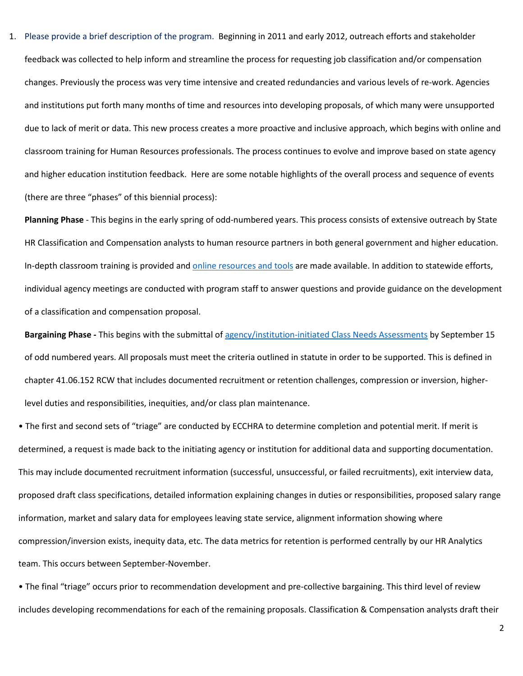1. Please provide a brief description of the program. Beginning in 2011 and early 2012, outreach efforts and stakeholder feedback was collected to help inform and streamline the process for requesting job classification and/or compensation changes. Previously the process was very time intensive and created redundancies and various levels of re-work. Agencies and institutions put forth many months of time and resources into developing proposals, of which many were unsupported due to lack of merit or data. This new process creates a more proactive and inclusive approach, which begins with online and classroom training for Human Resources professionals. The process continues to evolve and improve based on state agency and higher education institution feedback. Here are some notable highlights of the overall process and sequence of events (there are three "phases" of this biennial process):

**Planning Phase** - This begins in the early spring of odd-numbered years. This process consists of extensive outreach by State HR Classification and Compensation analysts to human resource partners in both general government and higher education. In-depth classroom training is provided an[d online resources and tools](https://ofm.wa.gov/state-human-resources/hr-meetings/classification-and-compensation-roundtable-april-4-2017) are made available. In addition to statewide efforts, individual agency meetings are conducted with program staff to answer questions and provide guidance on the development of a classification and compensation proposal.

**Bargaining Phase -** This begins with the submittal o[f agency/institution-initiated Class Needs Assessments](https://ofm.wa.gov/state-human-resources/compensation-job-classes/tools-services/hr-professional-tools) by September 15 of odd numbered years. All proposals must meet the criteria outlined in statute in order to be supported. This is defined in chapter 41.06.152 RCW that includes documented recruitment or retention challenges, compression or inversion, higherlevel duties and responsibilities, inequities, and/or class plan maintenance.

• The first and second sets of "triage" are conducted by ECCHRA to determine completion and potential merit. If merit is determined, a request is made back to the initiating agency or institution for additional data and supporting documentation. This may include documented recruitment information (successful, unsuccessful, or failed recruitments), exit interview data, proposed draft class specifications, detailed information explaining changes in duties or responsibilities, proposed salary range information, market and salary data for employees leaving state service, alignment information showing where compression/inversion exists, inequity data, etc. The data metrics for retention is performed centrally by our HR Analytics team. This occurs between September-November.

• The final "triage" occurs prior to recommendation development and pre-collective bargaining. This third level of review includes developing recommendations for each of the remaining proposals. Classification & Compensation analysts draft their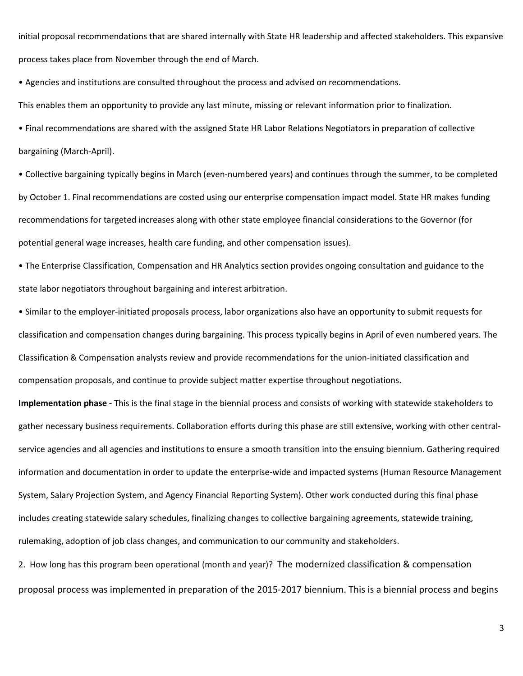initial proposal recommendations that are shared internally with State HR leadership and affected stakeholders. This expansive process takes place from November through the end of March.

• Agencies and institutions are consulted throughout the process and advised on recommendations.

This enables them an opportunity to provide any last minute, missing or relevant information prior to finalization.

• Final recommendations are shared with the assigned State HR Labor Relations Negotiators in preparation of collective bargaining (March-April).

• Collective bargaining typically begins in March (even-numbered years) and continues through the summer, to be completed by October 1. Final recommendations are costed using our enterprise compensation impact model. State HR makes funding recommendations for targeted increases along with other state employee financial considerations to the Governor (for potential general wage increases, health care funding, and other compensation issues).

• The Enterprise Classification, Compensation and HR Analytics section provides ongoing consultation and guidance to the state labor negotiators throughout bargaining and interest arbitration.

• Similar to the employer-initiated proposals process, labor organizations also have an opportunity to submit requests for classification and compensation changes during bargaining. This process typically begins in April of even numbered years. The Classification & Compensation analysts review and provide recommendations for the union-initiated classification and compensation proposals, and continue to provide subject matter expertise throughout negotiations.

**Implementation phase -** This is the final stage in the biennial process and consists of working with statewide stakeholders to gather necessary business requirements. Collaboration efforts during this phase are still extensive, working with other centralservice agencies and all agencies and institutions to ensure a smooth transition into the ensuing biennium. Gathering required information and documentation in order to update the enterprise-wide and impacted systems (Human Resource Management System, Salary Projection System, and Agency Financial Reporting System). Other work conducted during this final phase includes creating statewide salary schedules, finalizing changes to collective bargaining agreements, statewide training, rulemaking, adoption of job class changes, and communication to our community and stakeholders.

2. How long has this program been operational (month and year)? The modernized classification & compensation proposal process was implemented in preparation of the 2015-2017 biennium. This is a biennial process and begins

3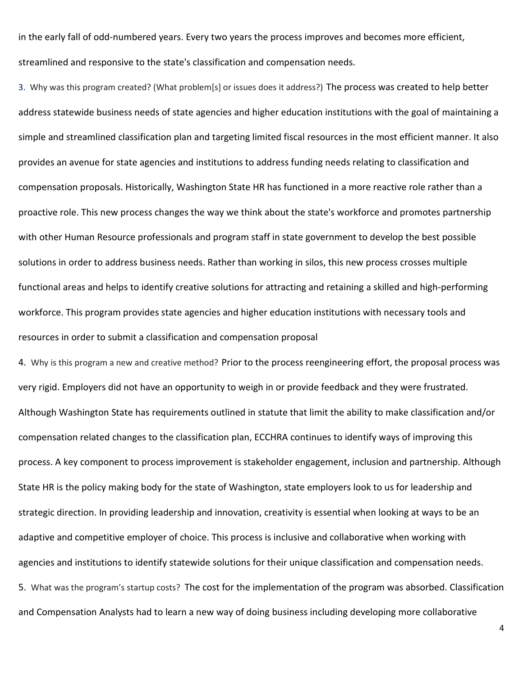in the early fall of odd-numbered years. Every two years the process improves and becomes more efficient, streamlined and responsive to the state's classification and compensation needs.

3. Why was this program created? (What problem[s] or issues does it address?) The process was created to help better address statewide business needs of state agencies and higher education institutions with the goal of maintaining a simple and streamlined classification plan and targeting limited fiscal resources in the most efficient manner. It also provides an avenue for state agencies and institutions to address funding needs relating to classification and compensation proposals. Historically, Washington State HR has functioned in a more reactive role rather than a proactive role. This new process changes the way we think about the state's workforce and promotes partnership with other Human Resource professionals and program staff in state government to develop the best possible solutions in order to address business needs. Rather than working in silos, this new process crosses multiple functional areas and helps to identify creative solutions for attracting and retaining a skilled and high-performing workforce. This program provides state agencies and higher education institutions with necessary tools and resources in order to submit a classification and compensation proposal

4. Why is this program a new and creative method? Prior to the process reengineering effort, the proposal process was very rigid. Employers did not have an opportunity to weigh in or provide feedback and they were frustrated. Although Washington State has requirements outlined in statute that limit the ability to make classification and/or compensation related changes to the classification plan, ECCHRA continues to identify ways of improving this process. A key component to process improvement is stakeholder engagement, inclusion and partnership. Although State HR is the policy making body for the state of Washington, state employers look to us for leadership and strategic direction. In providing leadership and innovation, creativity is essential when looking at ways to be an adaptive and competitive employer of choice. This process is inclusive and collaborative when working with agencies and institutions to identify statewide solutions for their unique classification and compensation needs. 5. What was the program's startup costs? The cost for the implementation of the program was absorbed. Classification and Compensation Analysts had to learn a new way of doing business including developing more collaborative

4